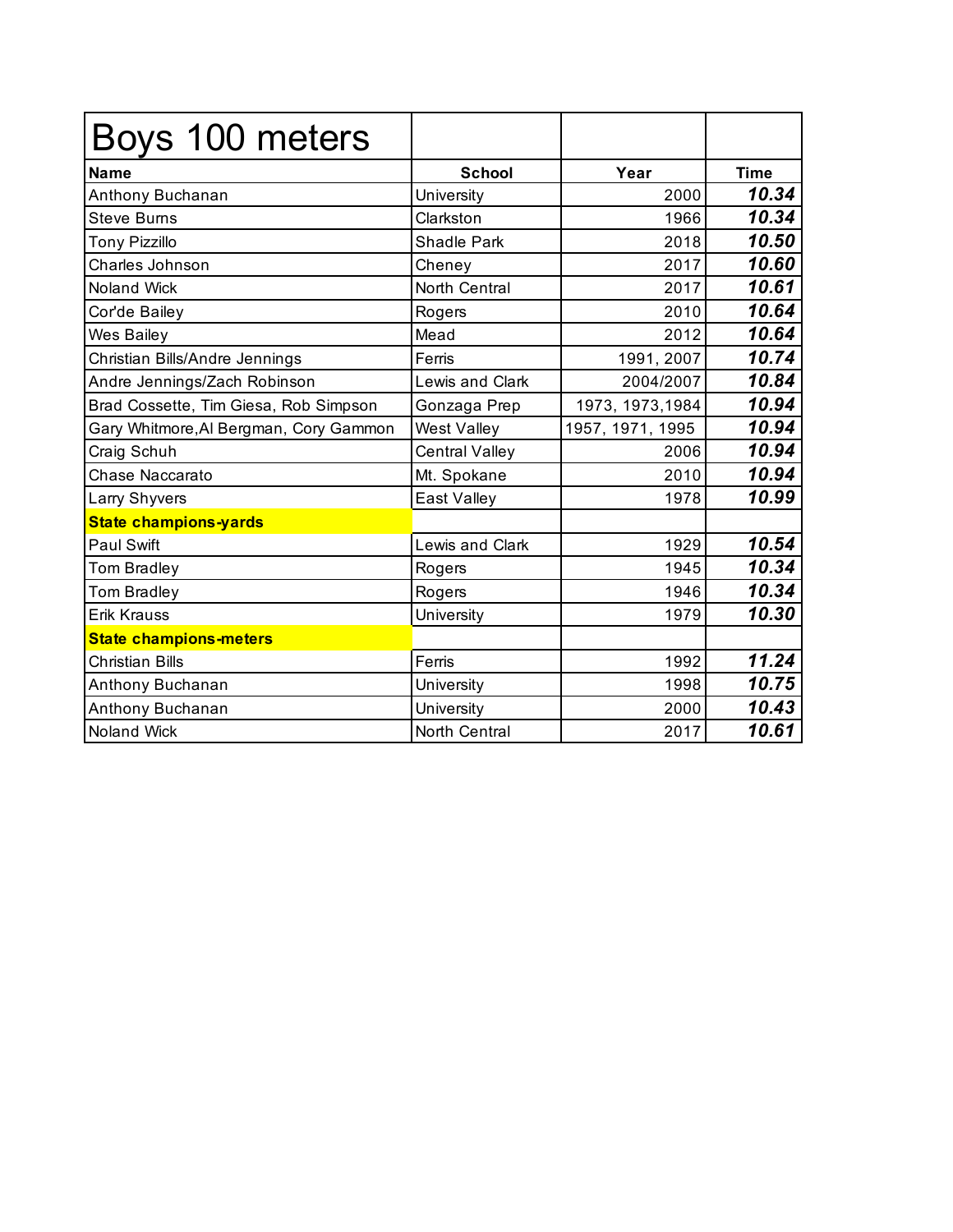| Boys 100 meters                        |                    |                  |             |
|----------------------------------------|--------------------|------------------|-------------|
| <b>Name</b>                            | <b>School</b>      | Year             | <b>Time</b> |
| Anthony Buchanan                       | University         | 2000             | 10.34       |
| <b>Steve Burns</b>                     | Clarkston          | 1966             | 10.34       |
| <b>Tony Pizzillo</b>                   | <b>Shadle Park</b> | 2018             | 10.50       |
| Charles Johnson                        | Cheney             | 2017             | 10.60       |
| <b>Noland Wick</b>                     | North Central      | 2017             | 10.61       |
| Cor'de Bailey                          | Rogers             | 2010             | 10.64       |
| Wes Bailey                             | Mead               | 2012             | 10.64       |
| Christian Bills/Andre Jennings         | Ferris             | 1991, 2007       | 10.74       |
| Andre Jennings/Zach Robinson           | Lewis and Clark    | 2004/2007        | 10.84       |
| Brad Cossette, Tim Giesa, Rob Simpson  | Gonzaga Prep       | 1973, 1973, 1984 | 10.94       |
| Gary Whitmore, Al Bergman, Cory Gammon | West Valley        | 1957, 1971, 1995 | 10.94       |
| Craig Schuh                            | Central Valley     | 2006             | 10.94       |
| Chase Naccarato                        | Mt. Spokane        | 2010             | 10.94       |
| Larry Shyvers                          | East Valley        | 1978             | 10.99       |
| <b>State champions-yards</b>           |                    |                  |             |
| <b>Paul Swift</b>                      | Lewis and Clark    | 1929             | 10.54       |
| <b>Tom Bradley</b>                     | Rogers             | 1945             | 10.34       |
| <b>Tom Bradley</b>                     | Rogers             | 1946             | 10.34       |
| <b>Erik Krauss</b>                     | University         | 1979             | 10.30       |
| <b>State champions-meters</b>          |                    |                  |             |
| <b>Christian Bills</b>                 | Ferris             | 1992             | 11.24       |
| Anthony Buchanan                       | University         | 1998             | 10.75       |
| Anthony Buchanan                       | University         | 2000             | 10.43       |
| Noland Wick                            | North Central      | 2017             | 10.61       |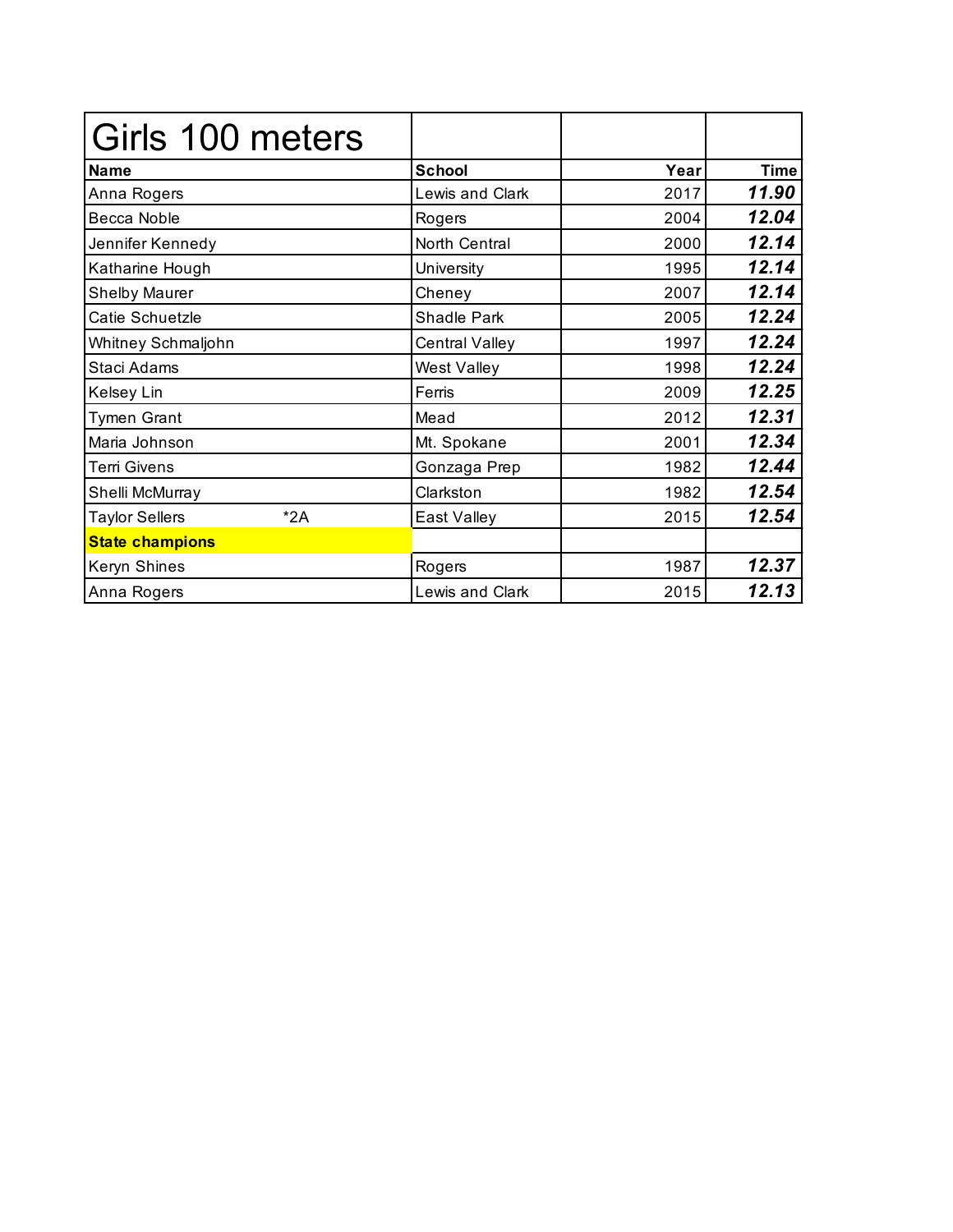| Girls 100 meters               |                        |      |             |
|--------------------------------|------------------------|------|-------------|
| <b>Name</b>                    | <b>School</b>          | Year | <b>Time</b> |
| Anna Rogers                    | <b>Lewis and Clark</b> | 2017 | 11.90       |
| Becca Noble                    | Rogers                 | 2004 | 12.04       |
| Jennifer Kennedy               | North Central          | 2000 | 12.14       |
| Katharine Hough                | University             | 1995 | 12.14       |
| <b>Shelby Maurer</b>           | Cheney                 | 2007 | 12.14       |
| Catie Schuetzle                | Shadle Park            | 2005 | 12.24       |
| Whitney Schmaljohn             | Central Valley         | 1997 | 12.24       |
| Staci Adams                    | <b>West Valley</b>     | 1998 | 12.24       |
| Kelsey Lin                     | Ferris                 | 2009 | 12.25       |
| <b>Tymen Grant</b>             | Mead                   | 2012 | 12.31       |
| Maria Johnson                  | Mt. Spokane            | 2001 | 12.34       |
| Terri Givens                   | Gonzaga Prep           | 1982 | 12.44       |
| Shelli McMurray                | Clarkston              | 1982 | 12.54       |
| $*2A$<br><b>Taylor Sellers</b> | East Valley            | 2015 | 12.54       |
| <b>State champions</b>         |                        |      |             |
| Keryn Shines                   | Rogers                 | 1987 | 12.37       |
| Anna Rogers                    | <b>Lewis and Clark</b> | 2015 | 12.13       |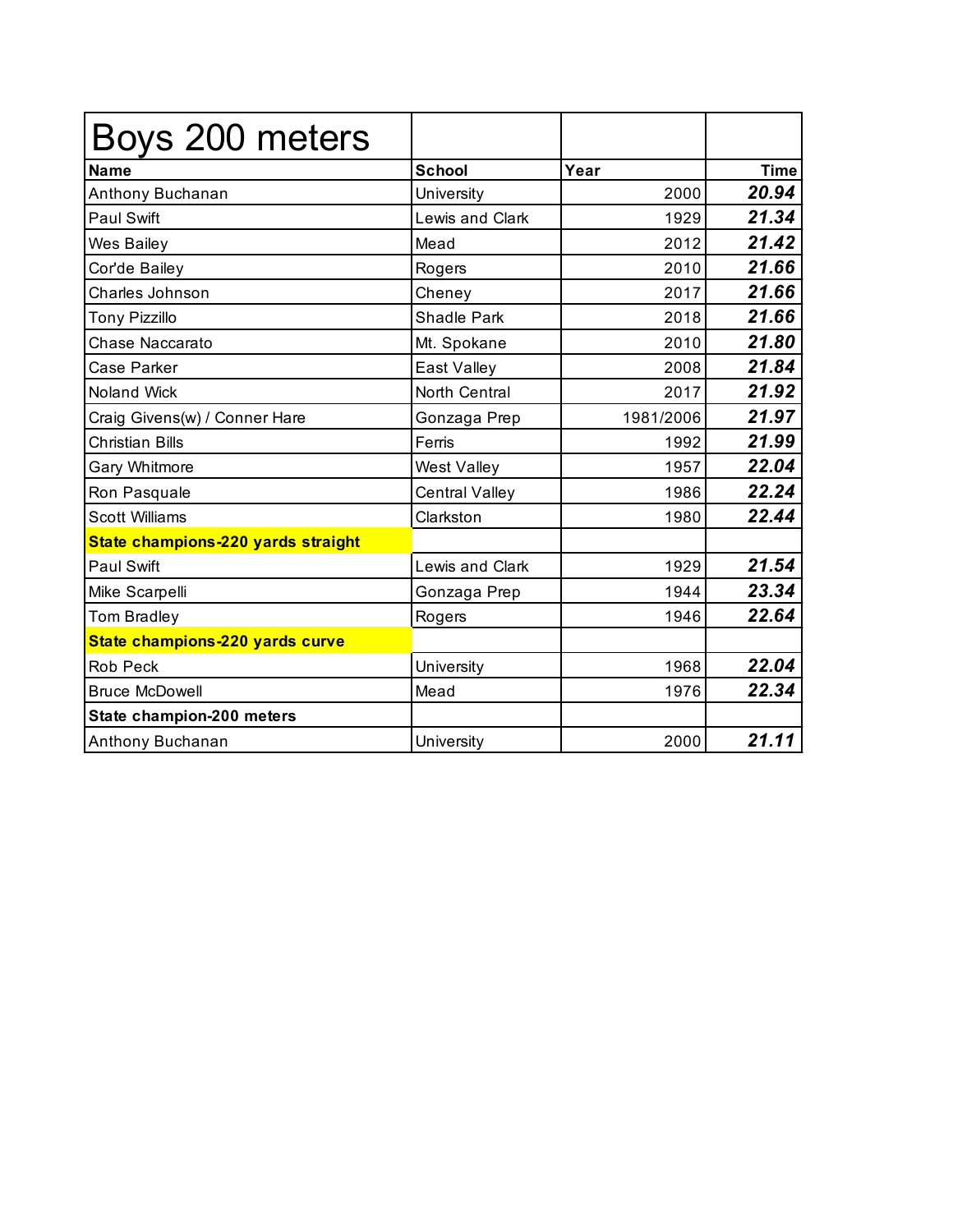| Boys 200 meters                    |                       |           |             |
|------------------------------------|-----------------------|-----------|-------------|
| <b>Name</b>                        | <b>School</b>         | Year      | <b>Time</b> |
| Anthony Buchanan                   | University            | 2000      | 20.94       |
| <b>Paul Swift</b>                  | Lewis and Clark       | 1929      | 21.34       |
| Wes Bailey                         | Mead                  | 2012      | 21.42       |
| Cor'de Bailey                      | Rogers                | 2010      | 21.66       |
| Charles Johnson                    | Cheney                | 2017      | 21.66       |
| <b>Tony Pizzillo</b>               | <b>Shadle Park</b>    | 2018      | 21.66       |
| Chase Naccarato                    | Mt. Spokane           | 2010      | 21.80       |
| Case Parker                        | East Valley           | 2008      | 21.84       |
| <b>Noland Wick</b>                 | North Central         | 2017      | 21.92       |
| Craig Givens(w) / Conner Hare      | Gonzaga Prep          | 1981/2006 | 21.97       |
| <b>Christian Bills</b>             | Ferris                | 1992      | 21.99       |
| Gary Whitmore                      | West Valley           | 1957      | 22.04       |
| Ron Pasquale                       | <b>Central Valley</b> | 1986      | 22.24       |
| <b>Scott Williams</b>              | Clarkston             | 1980      | 22.44       |
| State champions-220 yards straight |                       |           |             |
| <b>Paul Swift</b>                  | Lewis and Clark       | 1929      | 21.54       |
| Mike Scarpelli                     | Gonzaga Prep          | 1944      | 23.34       |
| <b>Tom Bradley</b>                 | Rogers                | 1946      | 22.64       |
| State champions-220 yards curve    |                       |           |             |
| <b>Rob Peck</b>                    | University            | 1968      | 22.04       |
| <b>Bruce McDowell</b>              | Mead                  | 1976      | 22.34       |
| State champion-200 meters          |                       |           |             |
| Anthony Buchanan                   | University            | 2000      | 21.11       |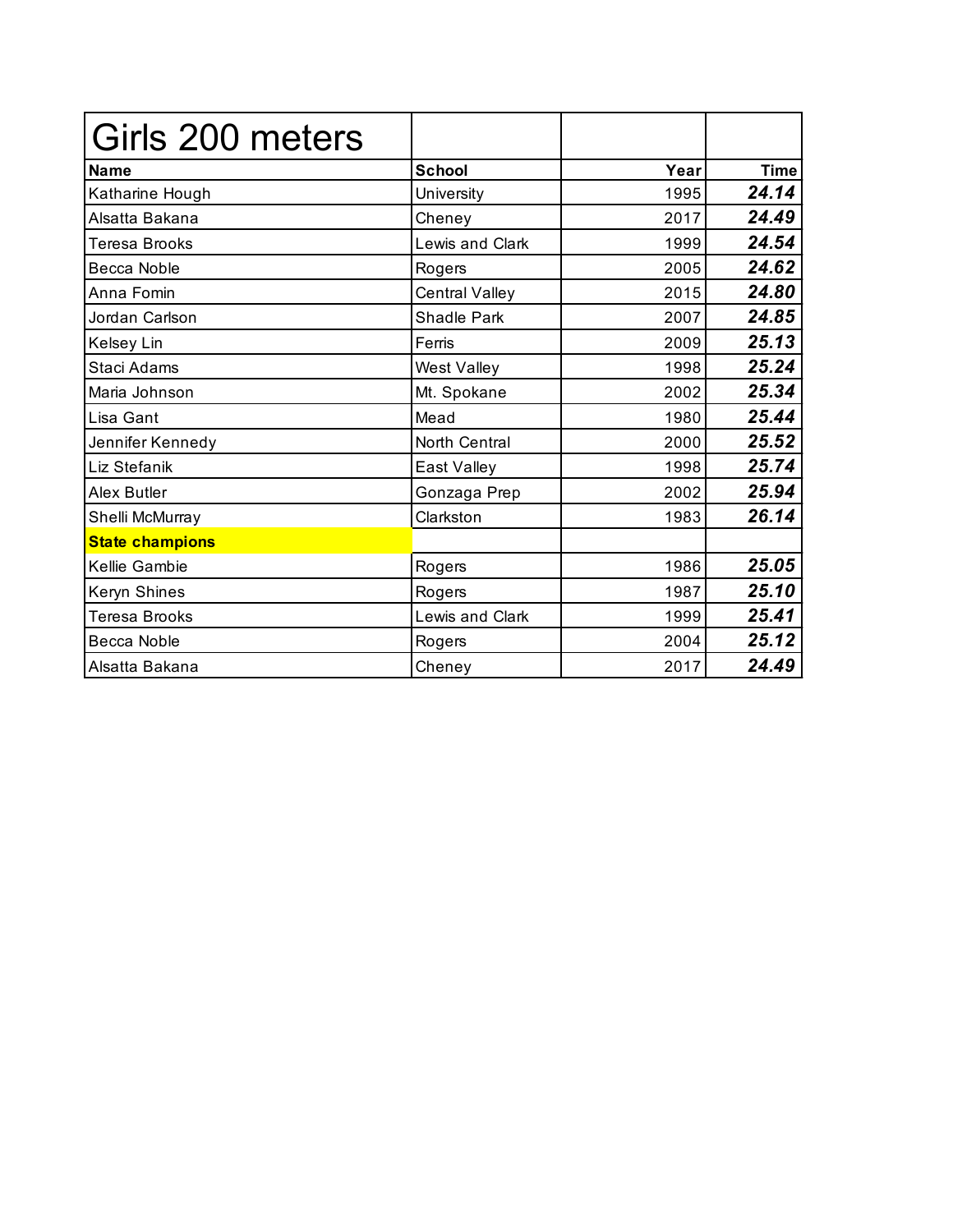| Girls 200 meters       |                    |      |             |
|------------------------|--------------------|------|-------------|
| <b>Name</b>            | <b>School</b>      | Year | <b>Time</b> |
| Katharine Hough        | University         | 1995 | 24.14       |
| Alsatta Bakana         | Cheney             | 2017 | 24.49       |
| <b>Teresa Brooks</b>   | Lewis and Clark    | 1999 | 24.54       |
| Becca Noble            | Rogers             | 2005 | 24.62       |
| Anna Fomin             | Central Valley     | 2015 | 24.80       |
| Jordan Carlson         | <b>Shadle Park</b> | 2007 | 24.85       |
| Kelsey Lin             | Ferris             | 2009 | 25.13       |
| Staci Adams            | West Valley        | 1998 | 25.24       |
| Maria Johnson          | Mt. Spokane        | 2002 | 25.34       |
| Lisa Gant              | Mead               | 1980 | 25.44       |
| Jennifer Kennedy       | North Central      | 2000 | 25.52       |
| Liz Stefanik           | East Valley        | 1998 | 25.74       |
| <b>Alex Butler</b>     | Gonzaga Prep       | 2002 | 25.94       |
| Shelli McMurray        | Clarkston          | 1983 | 26.14       |
| <b>State champions</b> |                    |      |             |
| Kellie Gambie          | Rogers             | 1986 | 25.05       |
| Keryn Shines           | Rogers             | 1987 | 25.10       |
| <b>Teresa Brooks</b>   | Lewis and Clark    | 1999 | 25.41       |
| Becca Noble            | Rogers             | 2004 | 25.12       |
| Alsatta Bakana         | Cheney             | 2017 | 24.49       |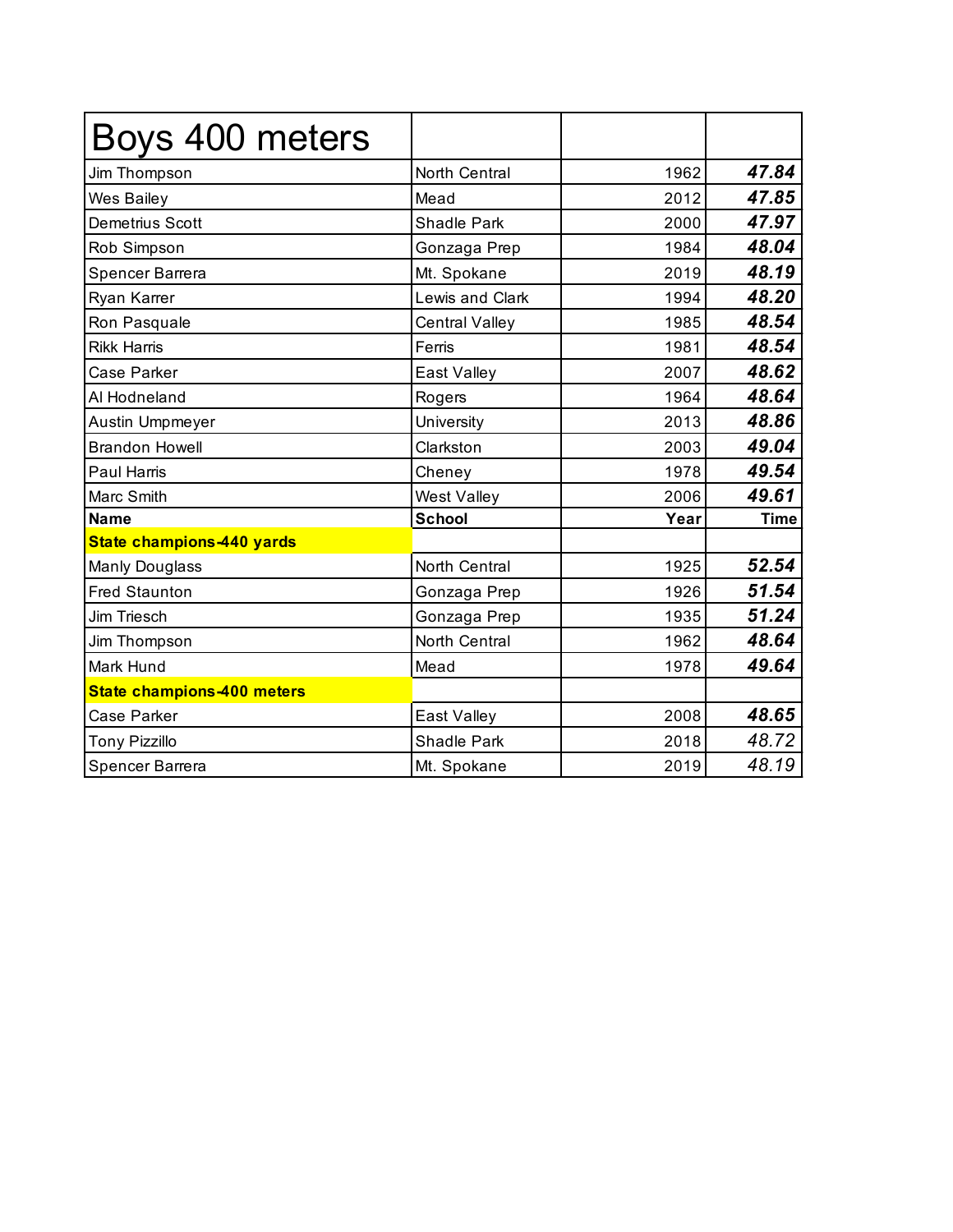| Boys 400 meters                   |                       |      |             |
|-----------------------------------|-----------------------|------|-------------|
| Jim Thompson                      | North Central         | 1962 | 47.84       |
| Wes Bailey                        | Mead                  | 2012 | 47.85       |
| <b>Demetrius Scott</b>            | <b>Shadle Park</b>    | 2000 | 47.97       |
| Rob Simpson                       | Gonzaga Prep          | 1984 | 48.04       |
| Spencer Barrera                   | Mt. Spokane           | 2019 | 48.19       |
| Ryan Karrer                       | Lewis and Clark       | 1994 | 48.20       |
| Ron Pasquale                      | <b>Central Valley</b> | 1985 | 48.54       |
| <b>Rikk Harris</b>                | Ferris                | 1981 | 48.54       |
| <b>Case Parker</b>                | East Valley           | 2007 | 48.62       |
| Al Hodneland                      | Rogers                | 1964 | 48.64       |
| Austin Umpmeyer                   | University            | 2013 | 48.86       |
| <b>Brandon Howell</b>             | Clarkston             | 2003 | 49.04       |
| <b>Paul Harris</b>                | Cheney                | 1978 | 49.54       |
| Marc Smith                        | <b>West Valley</b>    | 2006 | 49.61       |
| <b>Name</b>                       | <b>School</b>         | Year | <b>Time</b> |
| State champions-440 yards         |                       |      |             |
| <b>Manly Douglass</b>             | North Central         | 1925 | 52.54       |
| <b>Fred Staunton</b>              | Gonzaga Prep          | 1926 | 51.54       |
| Jim Triesch                       | Gonzaga Prep          | 1935 | 51.24       |
| Jim Thompson                      | North Central         | 1962 | 48.64       |
| Mark Hund                         | Mead                  | 1978 | 49.64       |
| <b>State champions-400 meters</b> |                       |      |             |
| <b>Case Parker</b>                | East Valley           | 2008 | 48.65       |
| <b>Tony Pizzillo</b>              | <b>Shadle Park</b>    | 2018 | 48.72       |
| Spencer Barrera                   | Mt. Spokane           | 2019 | 48.19       |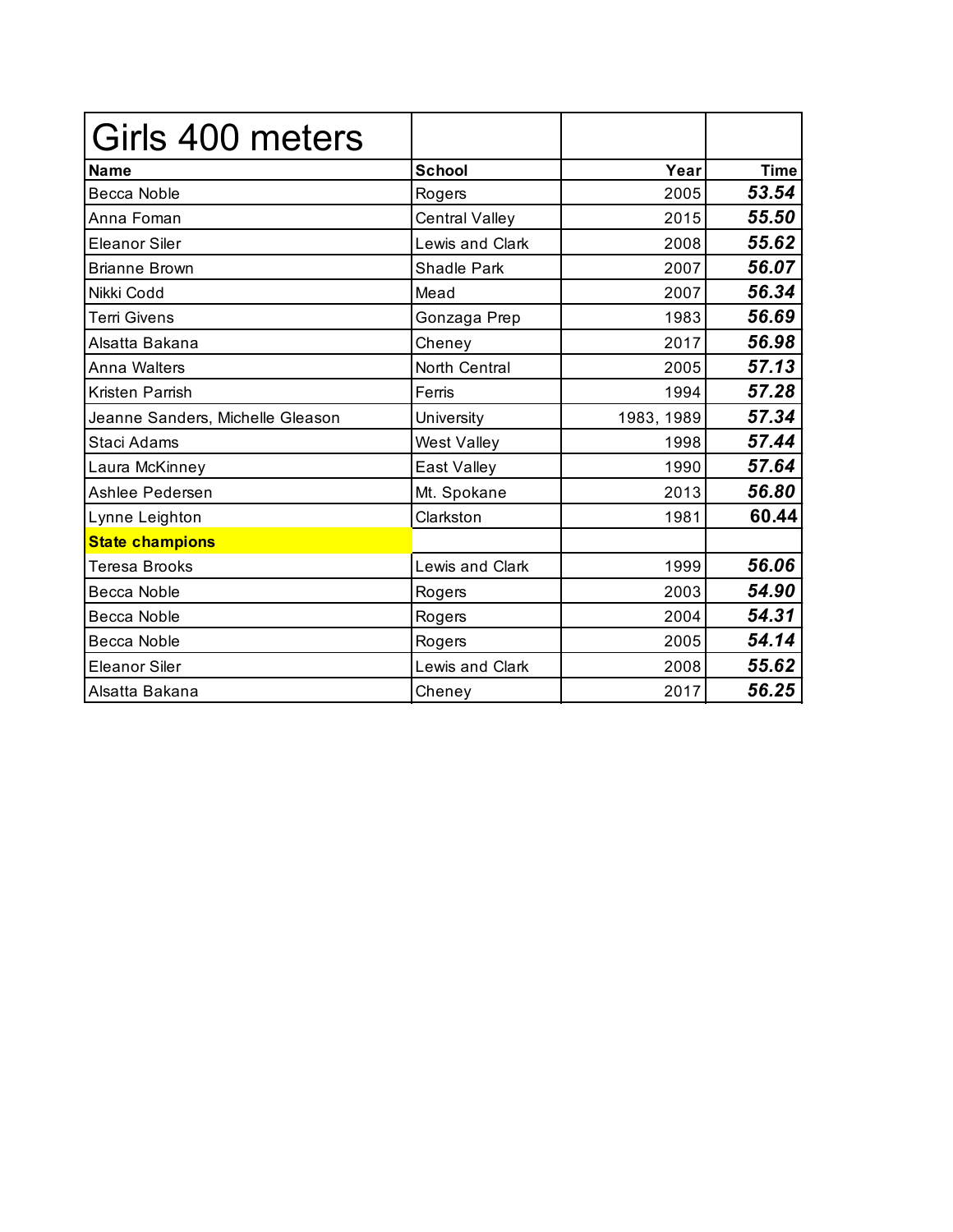| Girls 400 meters                 |                        |            |             |
|----------------------------------|------------------------|------------|-------------|
| <b>Name</b>                      | <b>School</b>          | Year       | <b>Time</b> |
| Becca Noble                      | Rogers                 | 2005       | 53.54       |
| Anna Foman                       | <b>Central Valley</b>  | 2015       | 55.50       |
| <b>Eleanor Siler</b>             | <b>Lewis and Clark</b> | 2008       | 55.62       |
| <b>Brianne Brown</b>             | Shadle Park            | 2007       | 56.07       |
| Nikki Codd                       | Mead                   | 2007       | 56.34       |
| <b>Terri Givens</b>              | Gonzaga Prep           | 1983       | 56.69       |
| Alsatta Bakana                   | Cheney                 | 2017       | 56.98       |
| Anna Walters                     | <b>North Central</b>   | 2005       | 57.13       |
| Kristen Parrish                  | Ferris                 | 1994       | 57.28       |
| Jeanne Sanders, Michelle Gleason | University             | 1983, 1989 | 57.34       |
| Staci Adams                      | West Valley            | 1998       | 57.44       |
| Laura McKinney                   | East Valley            | 1990       | 57.64       |
| Ashlee Pedersen                  | Mt. Spokane            | 2013       | 56.80       |
| Lynne Leighton                   | Clarkston              | 1981       | 60.44       |
| <b>State champions</b>           |                        |            |             |
| <b>Teresa Brooks</b>             | Lewis and Clark        | 1999       | 56.06       |
| <b>Becca Noble</b>               | Rogers                 | 2003       | 54.90       |
| Becca Noble                      | Rogers                 | 2004       | 54.31       |
| Becca Noble                      | Rogers                 | 2005       | 54.14       |
| <b>Eleanor Siler</b>             | Lewis and Clark        | 2008       | 55.62       |
| Alsatta Bakana                   | Cheney                 | 2017       | 56.25       |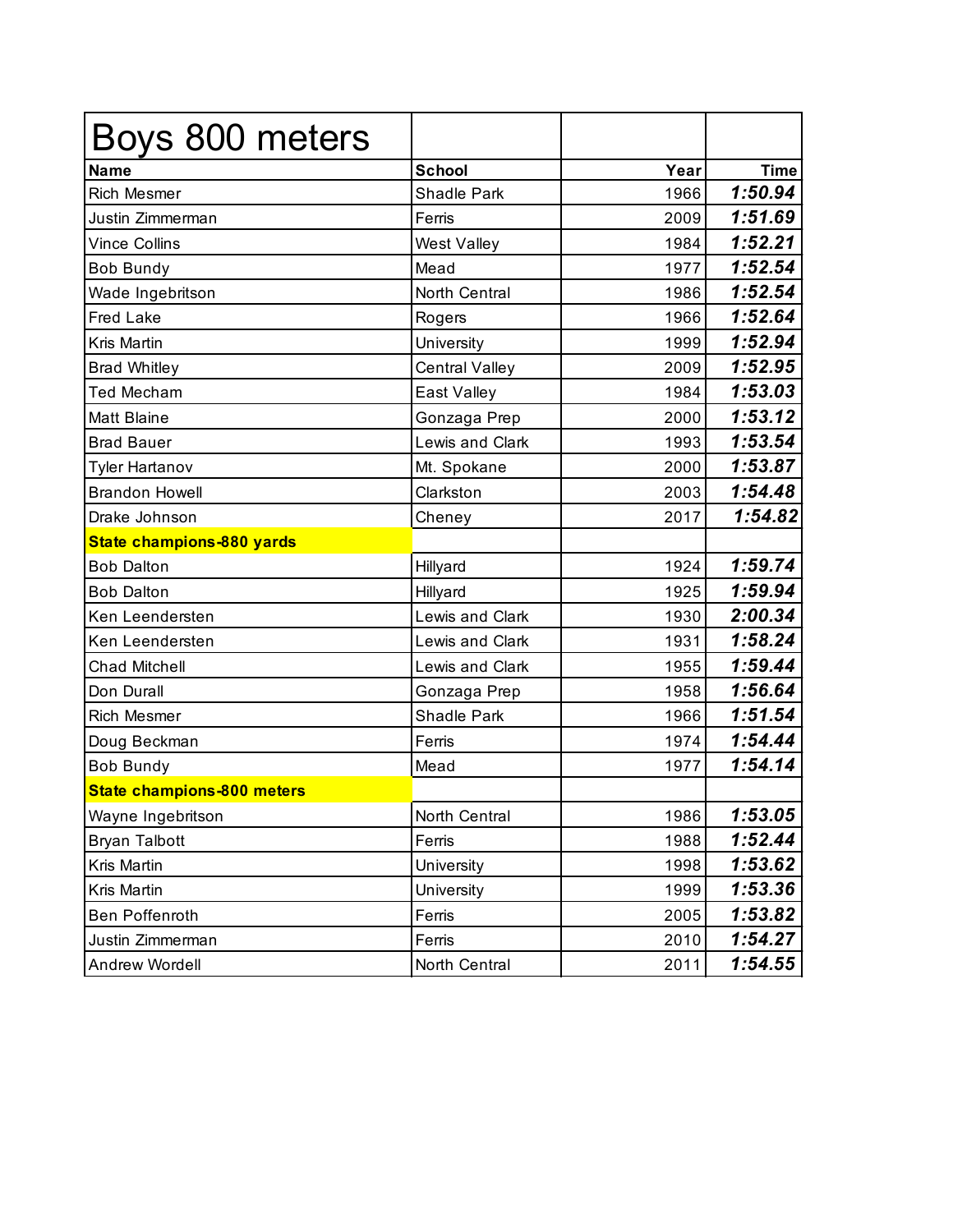| Boys 800 meters                   |                       |      |             |
|-----------------------------------|-----------------------|------|-------------|
| <b>Name</b>                       | <b>School</b>         | Year | <b>Time</b> |
| <b>Rich Mesmer</b>                | Shadle Park           | 1966 | 1:50.94     |
| Justin Zimmerman                  | Ferris                | 2009 | 1:51.69     |
| <b>Vince Collins</b>              | West Valley           | 1984 | 1:52.21     |
| <b>Bob Bundy</b>                  | Mead                  | 1977 | 1:52.54     |
| Wade Ingebritson                  | North Central         | 1986 | 1:52.54     |
| <b>Fred Lake</b>                  | Rogers                | 1966 | 1:52.64     |
| Kris Martin                       | University            | 1999 | 1:52.94     |
| <b>Brad Whitley</b>               | <b>Central Valley</b> | 2009 | 1:52.95     |
| <b>Ted Mecham</b>                 | East Valley           | 1984 | 1:53.03     |
| <b>Matt Blaine</b>                | Gonzaga Prep          | 2000 | 1:53.12     |
| <b>Brad Bauer</b>                 | Lewis and Clark       | 1993 | 1:53.54     |
| <b>Tyler Hartanov</b>             | Mt. Spokane           | 2000 | 1:53.87     |
| <b>Brandon Howell</b>             | Clarkston             | 2003 | 1:54.48     |
| Drake Johnson                     | Cheney                | 2017 | 1:54.82     |
| State champions-880 yards         |                       |      |             |
| <b>Bob Dalton</b>                 | Hillyard              | 1924 | 1:59.74     |
| <b>Bob Dalton</b>                 | Hillyard              | 1925 | 1:59.94     |
| Ken Leendersten                   | Lewis and Clark       | 1930 | 2:00.34     |
| Ken Leendersten                   | Lewis and Clark       | 1931 | 1:58.24     |
| <b>Chad Mitchell</b>              | Lewis and Clark       | 1955 | 1:59.44     |
| Don Durall                        | Gonzaga Prep          | 1958 | 1:56.64     |
| <b>Rich Mesmer</b>                | Shadle Park           | 1966 | 1:51.54     |
| Doug Beckman                      | Ferris                | 1974 | 1:54.44     |
| <b>Bob Bundy</b>                  | Mead                  | 1977 | 1:54.14     |
| <b>State champions-800 meters</b> |                       |      |             |
| Wayne Ingebritson                 | North Central         | 1986 | 1:53.05     |
| <b>Bryan Talbott</b>              | Ferris                | 1988 | 1:52.44     |
| Kris Martin                       | University            | 1998 | 1:53.62     |
| Kris Martin                       | University            | 1999 | 1:53.36     |
| Ben Poffenroth                    | Ferris                | 2005 | 1:53.82     |
| Justin Zimmerman                  | Ferris                | 2010 | 1:54.27     |
| Andrew Wordell                    | North Central         | 2011 | 1:54.55     |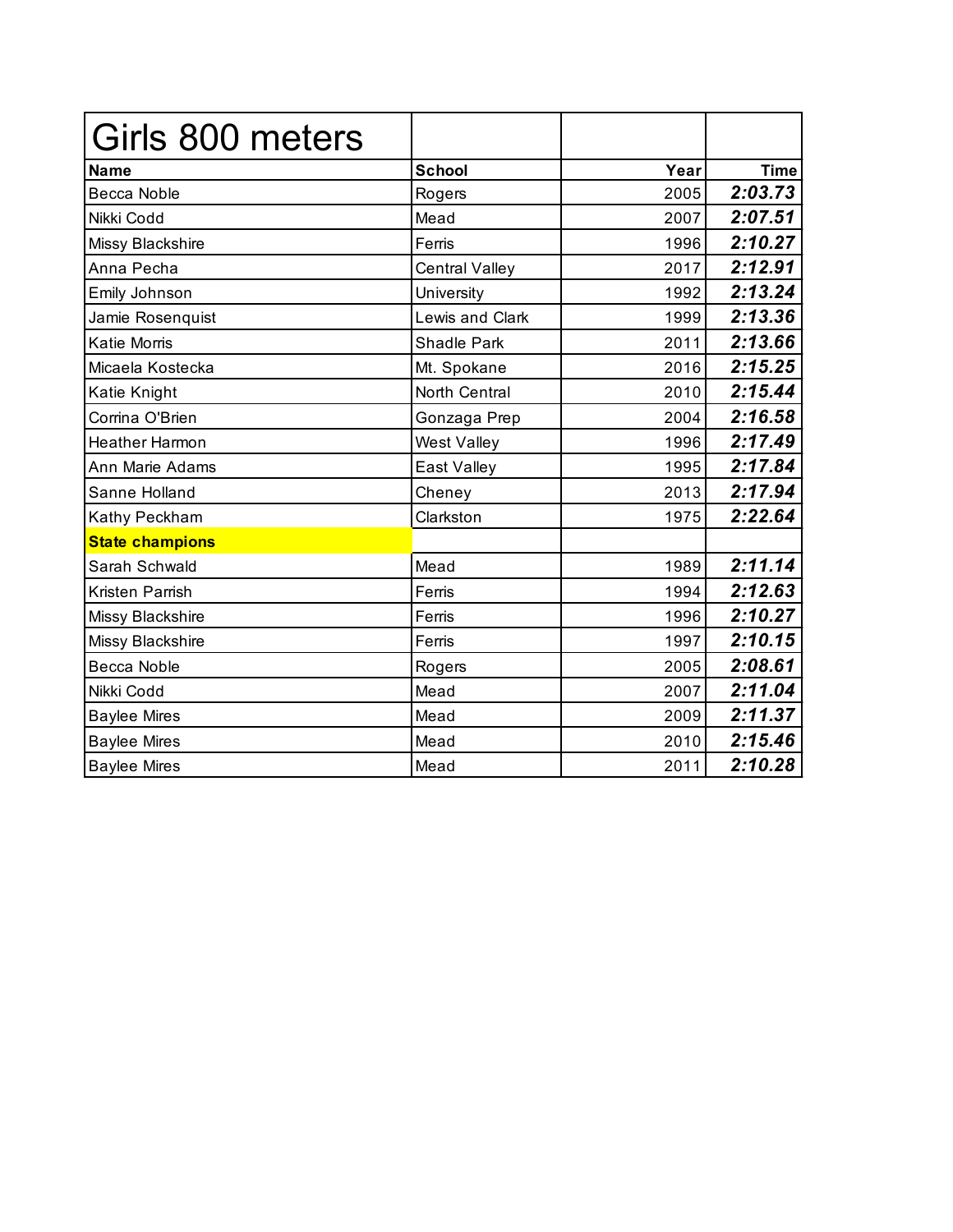| Girls 800 meters       |                       |      |             |
|------------------------|-----------------------|------|-------------|
| <b>Name</b>            | <b>School</b>         | Year | <b>Time</b> |
| <b>Becca Noble</b>     | Rogers                | 2005 | 2:03.73     |
| Nikki Codd             | Mead                  | 2007 | 2:07.51     |
| Missy Blackshire       | Ferris                | 1996 | 2:10.27     |
| Anna Pecha             | <b>Central Valley</b> | 2017 | 2:12.91     |
| Emily Johnson          | University            | 1992 | 2:13.24     |
| Jamie Rosenquist       | Lewis and Clark       | 1999 | 2:13.36     |
| Katie Morris           | <b>Shadle Park</b>    | 2011 | 2:13.66     |
| Micaela Kostecka       | Mt. Spokane           | 2016 | 2:15.25     |
| Katie Knight           | North Central         | 2010 | 2:15.44     |
| Corrina O'Brien        | Gonzaga Prep          | 2004 | 2:16.58     |
| <b>Heather Harmon</b>  | <b>West Valley</b>    | 1996 | 2:17.49     |
| Ann Marie Adams        | East Valley           | 1995 | 2:17.84     |
| Sanne Holland          | Cheney                | 2013 | 2:17.94     |
| Kathy Peckham          | Clarkston             | 1975 | 2:22.64     |
| <b>State champions</b> |                       |      |             |
| Sarah Schwald          | Mead                  | 1989 | 2:11.14     |
| Kristen Parrish        | Ferris                | 1994 | 2:12.63     |
| Missy Blackshire       | Ferris                | 1996 | 2:10.27     |
| Missy Blackshire       | Ferris                | 1997 | 2:10.15     |
| Becca Noble            | Rogers                | 2005 | 2:08.61     |
| Nikki Codd             | Mead                  | 2007 | 2:11.04     |
| <b>Baylee Mires</b>    | Mead                  | 2009 | 2:11.37     |
| <b>Baylee Mires</b>    | Mead                  | 2010 | 2:15.46     |
| <b>Baylee Mires</b>    | Mead                  | 2011 | 2:10.28     |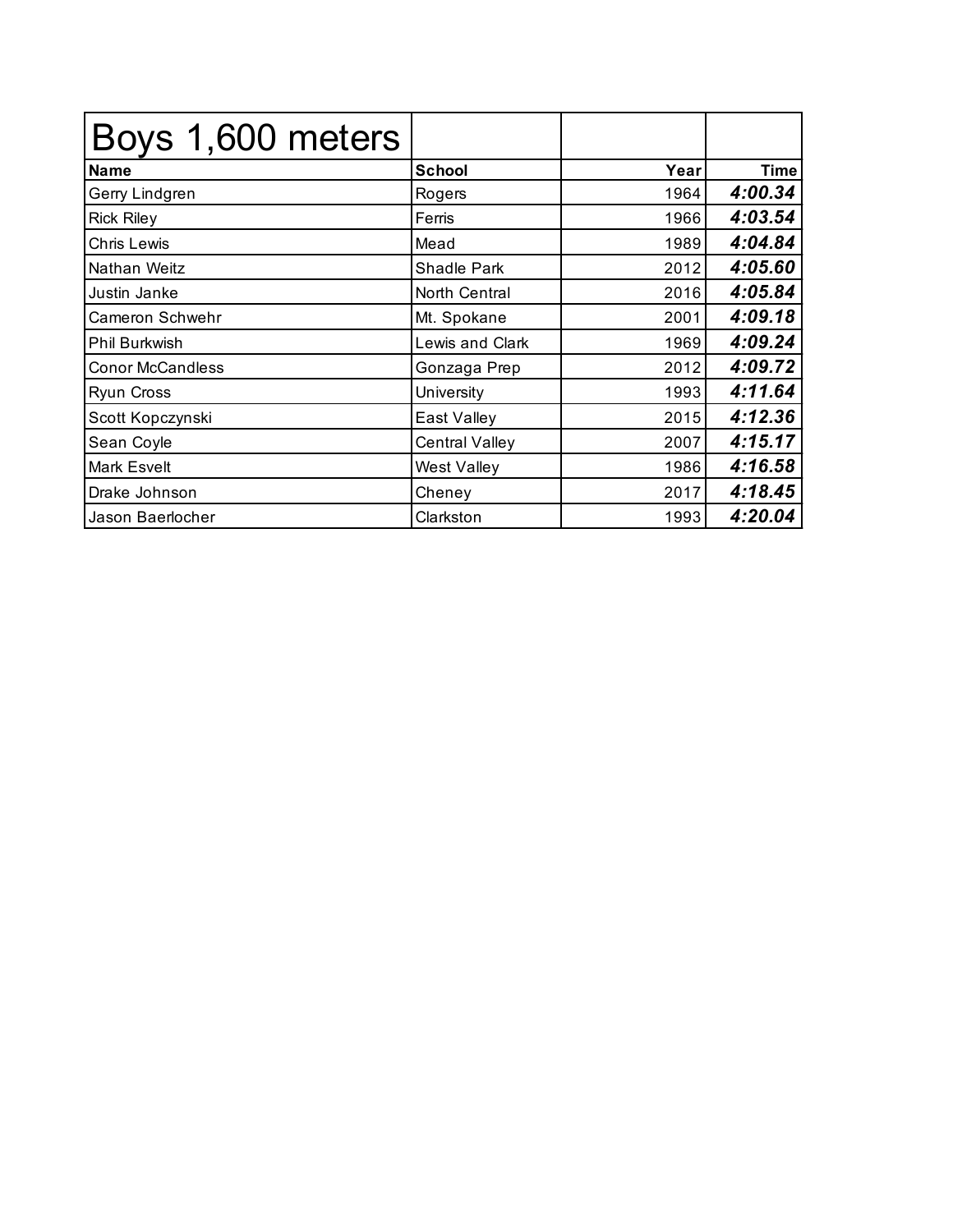| Boys 1,600 meters       |                        |      |         |
|-------------------------|------------------------|------|---------|
| <b>Name</b>             | <b>School</b>          | Year | Time    |
| Gerry Lindgren          | Rogers                 | 1964 | 4:00.34 |
| <b>Rick Riley</b>       | Ferris                 | 1966 | 4:03.54 |
| <b>Chris Lewis</b>      | Mead                   | 1989 | 4:04.84 |
| Nathan Weitz            | Shadle Park            | 2012 | 4:05.60 |
| Justin Janke            | North Central          | 2016 | 4:05.84 |
| Cameron Schwehr         | Mt. Spokane            | 2001 | 4:09.18 |
| Phil Burkwish           | <b>Lewis and Clark</b> | 1969 | 4:09.24 |
| <b>Conor McCandless</b> | Gonzaga Prep           | 2012 | 4:09.72 |
| <b>Ryun Cross</b>       | University             | 1993 | 4:11.64 |
| Scott Kopczynski        | East Valley            | 2015 | 4:12.36 |
| Sean Coyle              | <b>Central Valley</b>  | 2007 | 4:15.17 |
| Mark Esvelt             | West Valley            | 1986 | 4:16.58 |
| Drake Johnson           | Cheney                 | 2017 | 4:18.45 |
| Jason Baerlocher        | Clarkston              | 1993 | 4:20.04 |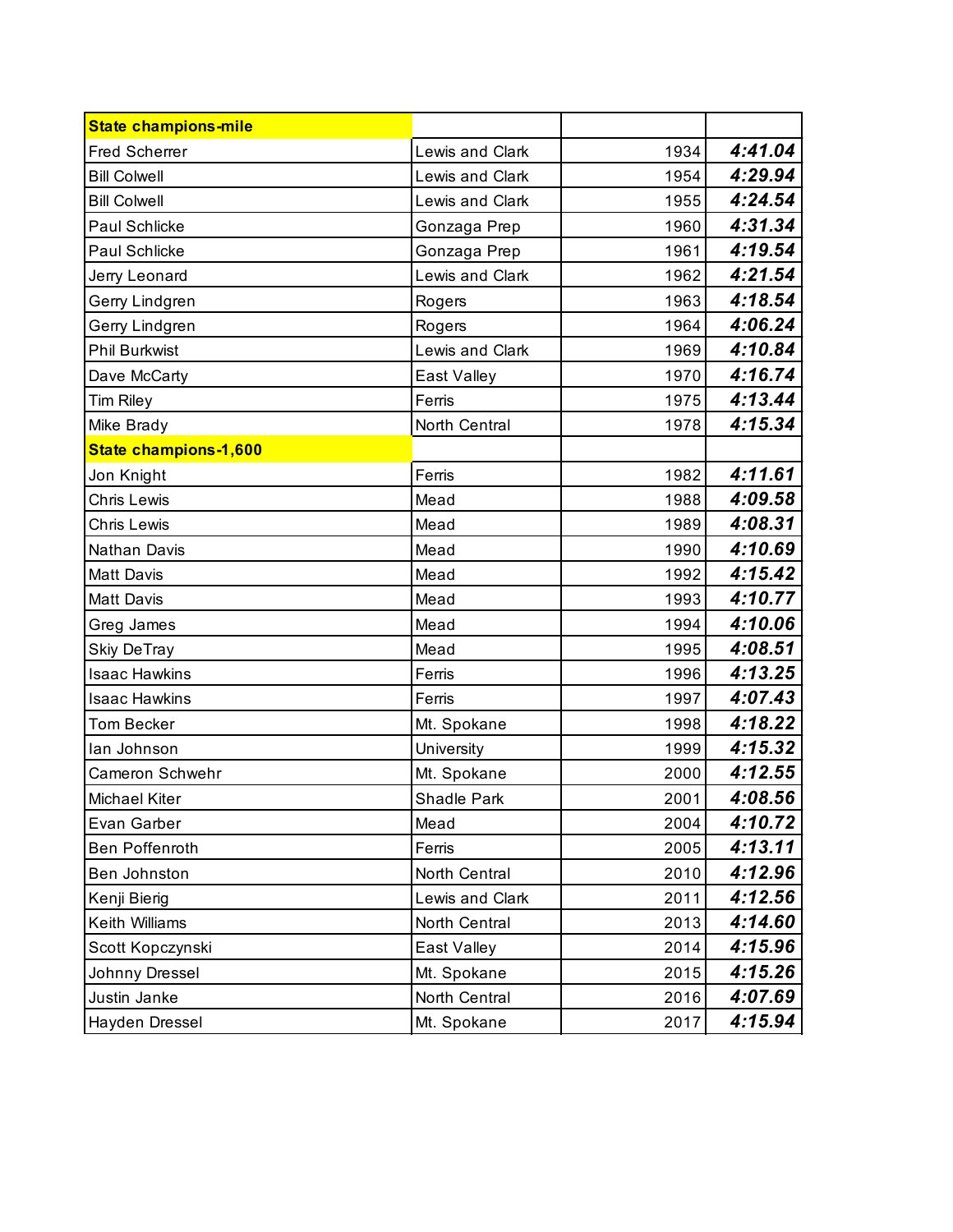| <b>State champions-mile</b> |                    |      |         |
|-----------------------------|--------------------|------|---------|
| <b>Fred Scherrer</b>        | Lewis and Clark    | 1934 | 4:41.04 |
| <b>Bill Colwell</b>         | Lewis and Clark    | 1954 | 4:29.94 |
| <b>Bill Colwell</b>         | Lewis and Clark    | 1955 | 4:24.54 |
| Paul Schlicke               | Gonzaga Prep       | 1960 | 4:31.34 |
| Paul Schlicke               | Gonzaga Prep       | 1961 | 4:19.54 |
| Jerry Leonard               | Lewis and Clark    | 1962 | 4:21.54 |
| Gerry Lindgren              | Rogers             | 1963 | 4:18.54 |
| Gerry Lindgren              | Rogers             | 1964 | 4:06.24 |
| <b>Phil Burkwist</b>        | Lewis and Clark    | 1969 | 4:10.84 |
| Dave McCarty                | East Valley        | 1970 | 4:16.74 |
| <b>Tim Riley</b>            | Ferris             | 1975 | 4:13.44 |
| Mike Brady                  | North Central      | 1978 | 4:15.34 |
| State champions-1,600       |                    |      |         |
| Jon Knight                  | Ferris             | 1982 | 4:11.61 |
| <b>Chris Lewis</b>          | Mead               | 1988 | 4:09.58 |
| <b>Chris Lewis</b>          | Mead               | 1989 | 4:08.31 |
| Nathan Davis                | Mead               | 1990 | 4:10.69 |
| <b>Matt Davis</b>           | Mead               | 1992 | 4:15.42 |
| <b>Matt Davis</b>           | Mead               | 1993 | 4:10.77 |
| Greg James                  | Mead               | 1994 | 4:10.06 |
| <b>Skiy DeTray</b>          | Mead               | 1995 | 4:08.51 |
| <b>Isaac Hawkins</b>        | Ferris             | 1996 | 4:13.25 |
| <b>Isaac Hawkins</b>        | Ferris             | 1997 | 4:07.43 |
| <b>Tom Becker</b>           | Mt. Spokane        | 1998 | 4:18.22 |
| lan Johnson                 | University         | 1999 | 4:15.32 |
| Cameron Schwehr             | Mt. Spokane        | 2000 | 4:12.55 |
| Michael Kiter               | <b>Shadle Park</b> | 2001 | 4:08.56 |
| Evan Garber                 | Mead               | 2004 | 4:10.72 |
| <b>Ben Poffenroth</b>       | Ferris             | 2005 | 4:13.11 |
| Ben Johnston                | North Central      | 2010 | 4:12.96 |
| Kenji Bierig                | Lewis and Clark    | 2011 | 4:12.56 |
| Keith Williams              | North Central      | 2013 | 4:14.60 |
| Scott Kopczynski            | East Valley        | 2014 | 4:15.96 |
| Johnny Dressel              | Mt. Spokane        | 2015 | 4:15.26 |
| Justin Janke                | North Central      | 2016 | 4:07.69 |
| Hayden Dressel              | Mt. Spokane        | 2017 | 4:15.94 |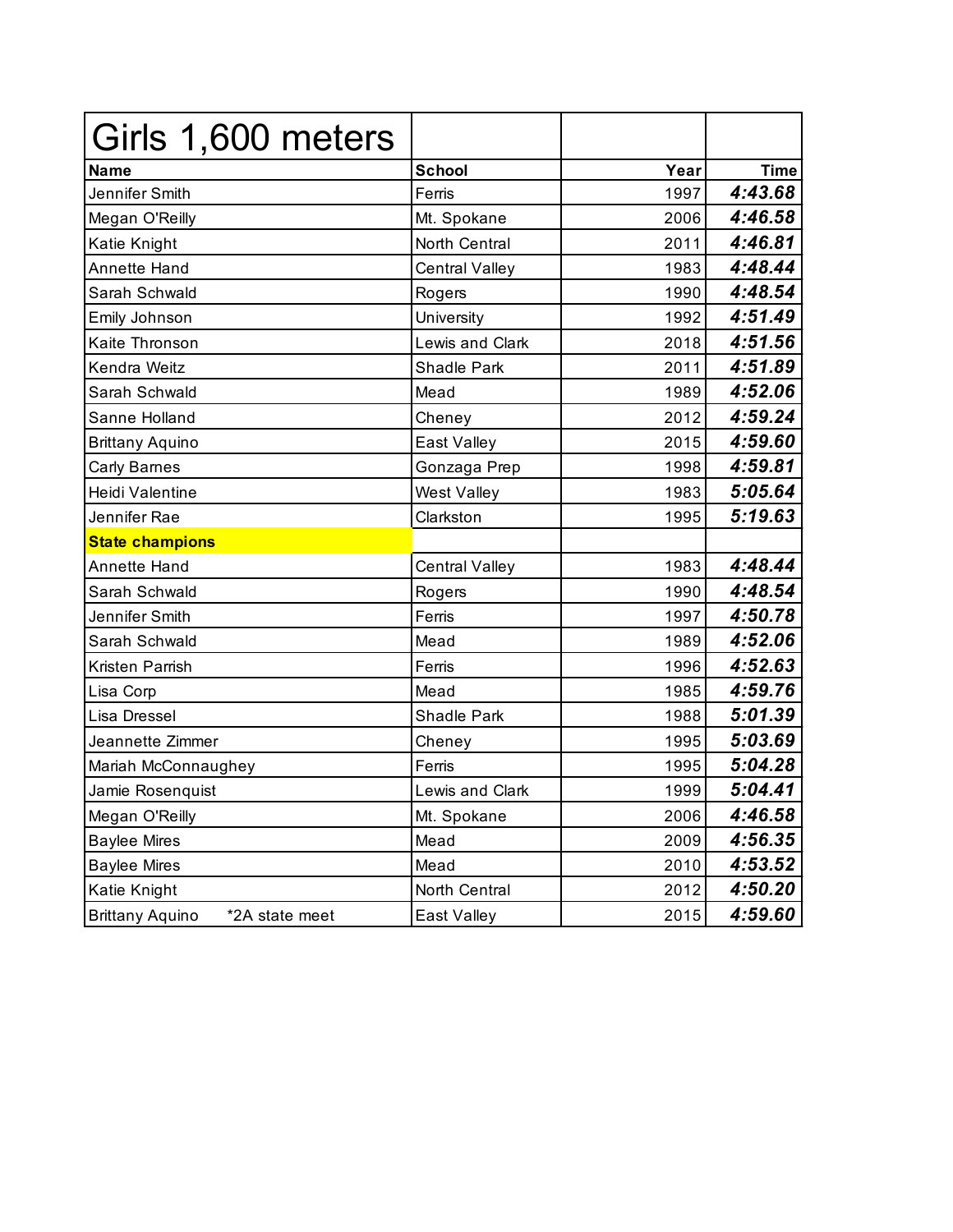| Girls 1,600 meters                       |                       |      |             |
|------------------------------------------|-----------------------|------|-------------|
| Name                                     | <b>School</b>         | Year | <b>Time</b> |
| Jennifer Smith                           | Ferris                | 1997 | 4:43.68     |
| Megan O'Reilly                           | Mt. Spokane           | 2006 | 4:46.58     |
| Katie Knight                             | North Central         | 2011 | 4:46.81     |
| <b>Annette Hand</b>                      | <b>Central Valley</b> | 1983 | 4:48.44     |
| Sarah Schwald                            | Rogers                | 1990 | 4:48.54     |
| Emily Johnson                            | University            | 1992 | 4:51.49     |
| Kaite Thronson                           | Lewis and Clark       | 2018 | 4:51.56     |
| Kendra Weitz                             | <b>Shadle Park</b>    | 2011 | 4:51.89     |
| Sarah Schwald                            | Mead                  | 1989 | 4:52.06     |
| Sanne Holland                            | Cheney                | 2012 | 4:59.24     |
| <b>Brittany Aquino</b>                   | East Valley           | 2015 | 4:59.60     |
| <b>Carly Barnes</b>                      | Gonzaga Prep          | 1998 | 4:59.81     |
| Heidi Valentine                          | <b>West Valley</b>    | 1983 | 5:05.64     |
| Jennifer Rae                             | Clarkston             | 1995 | 5:19.63     |
| <b>State champions</b>                   |                       |      |             |
| <b>Annette Hand</b>                      | Central Valley        | 1983 | 4:48.44     |
| Sarah Schwald                            | Rogers                | 1990 | 4:48.54     |
| Jennifer Smith                           | Ferris                | 1997 | 4:50.78     |
| Sarah Schwald                            | Mead                  | 1989 | 4:52.06     |
| Kristen Parrish                          | Ferris                | 1996 | 4:52.63     |
| Lisa Corp                                | Mead                  | 1985 | 4:59.76     |
| Lisa Dressel                             | <b>Shadle Park</b>    | 1988 | 5:01.39     |
| Jeannette Zimmer                         | Cheney                | 1995 | 5:03.69     |
| Mariah McConnaughey                      | Ferris                | 1995 | 5:04.28     |
| Jamie Rosenquist                         | Lewis and Clark       | 1999 | 5:04.41     |
| Megan O'Reilly                           | Mt. Spokane           | 2006 | 4:46.58     |
| <b>Baylee Mires</b>                      | Mead                  | 2009 | 4:56.35     |
| <b>Baylee Mires</b>                      | Mead                  | 2010 | 4:53.52     |
| Katie Knight                             | North Central         | 2012 | 4:50.20     |
| <b>Brittany Aquino</b><br>*2A state meet | East Valley           | 2015 | 4:59.60     |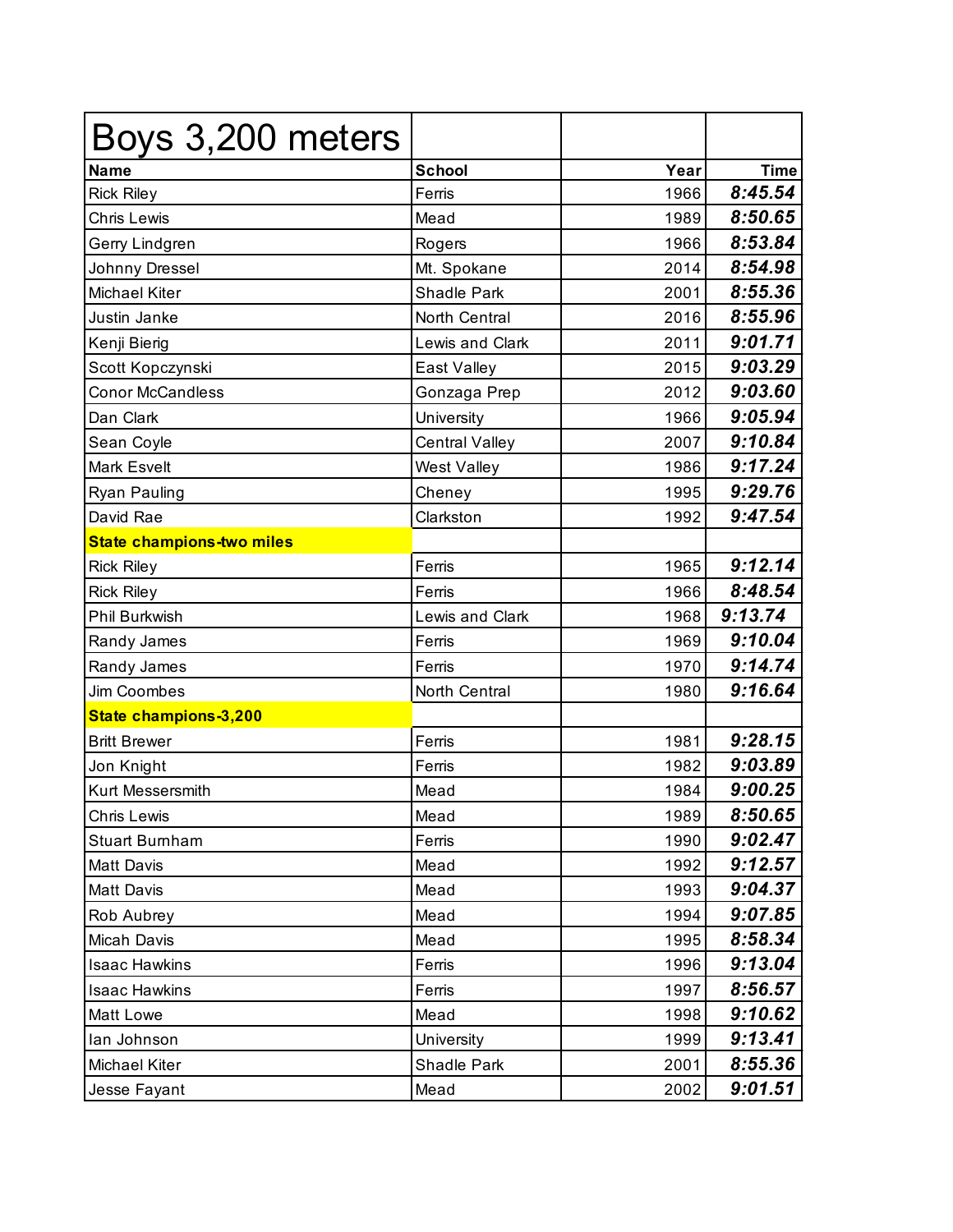| Boys 3,200 meters                |                       |      |             |
|----------------------------------|-----------------------|------|-------------|
| <b>Name</b>                      | <b>School</b>         | Year | <b>Time</b> |
| <b>Rick Riley</b>                | Ferris                | 1966 | 8:45.54     |
| <b>Chris Lewis</b>               | Mead                  | 1989 | 8:50.65     |
| Gerry Lindgren                   | Rogers                | 1966 | 8:53.84     |
| Johnny Dressel                   | Mt. Spokane           | 2014 | 8:54.98     |
| <b>Michael Kiter</b>             | <b>Shadle Park</b>    | 2001 | 8:55.36     |
| Justin Janke                     | North Central         | 2016 | 8:55.96     |
| Kenji Bierig                     | Lewis and Clark       | 2011 | 9:01.71     |
| Scott Kopczynski                 | East Valley           | 2015 | 9:03.29     |
| <b>Conor McCandless</b>          | Gonzaga Prep          | 2012 | 9:03.60     |
| Dan Clark                        | University            | 1966 | 9:05.94     |
| Sean Coyle                       | <b>Central Valley</b> | 2007 | 9:10.84     |
| <b>Mark Esvelt</b>               | West Valley           | 1986 | 9:17.24     |
| Ryan Pauling                     | Cheney                | 1995 | 9:29.76     |
| David Rae                        | Clarkston             | 1992 | 9:47.54     |
| <b>State champions-two miles</b> |                       |      |             |
| <b>Rick Riley</b>                | Ferris                | 1965 | 9:12.14     |
| <b>Rick Riley</b>                | Ferris                | 1966 | 8:48.54     |
| Phil Burkwish                    | Lewis and Clark       | 1968 | 9:13.74     |
| Randy James                      | Ferris                | 1969 | 9:10.04     |
| Randy James                      | Ferris                | 1970 | 9:14.74     |
| Jim Coombes                      | North Central         | 1980 | 9:16.64     |
| State champions-3,200            |                       |      |             |
| <b>Britt Brewer</b>              | Ferris                | 1981 | 9:28.15     |
| Jon Knight                       | Ferris                | 1982 | 9:03.89     |
| <b>Kurt Messersmith</b>          | Mead                  | 1984 | 9:00.25     |
| <b>Chris Lewis</b>               | Mead                  | 1989 | 8:50.65     |
| <b>Stuart Burnham</b>            | Ferris                | 1990 | 9:02.47     |
| <b>Matt Davis</b>                | Mead                  | 1992 | 9:12.57     |
| Matt Davis                       | Mead                  | 1993 | 9:04.37     |
| Rob Aubrey                       | Mead                  | 1994 | 9:07.85     |
| Micah Davis                      | Mead                  | 1995 | 8:58.34     |
| <b>Isaac Hawkins</b>             | Ferris                | 1996 | 9:13.04     |
| <b>Isaac Hawkins</b>             | Ferris                | 1997 | 8:56.57     |
| Matt Lowe                        | Mead                  | 1998 | 9:10.62     |
| lan Johnson                      | University            | 1999 | 9:13.41     |
| Michael Kiter                    | Shadle Park           | 2001 | 8:55.36     |
| Jesse Fayant                     | Mead                  | 2002 | 9:01.51     |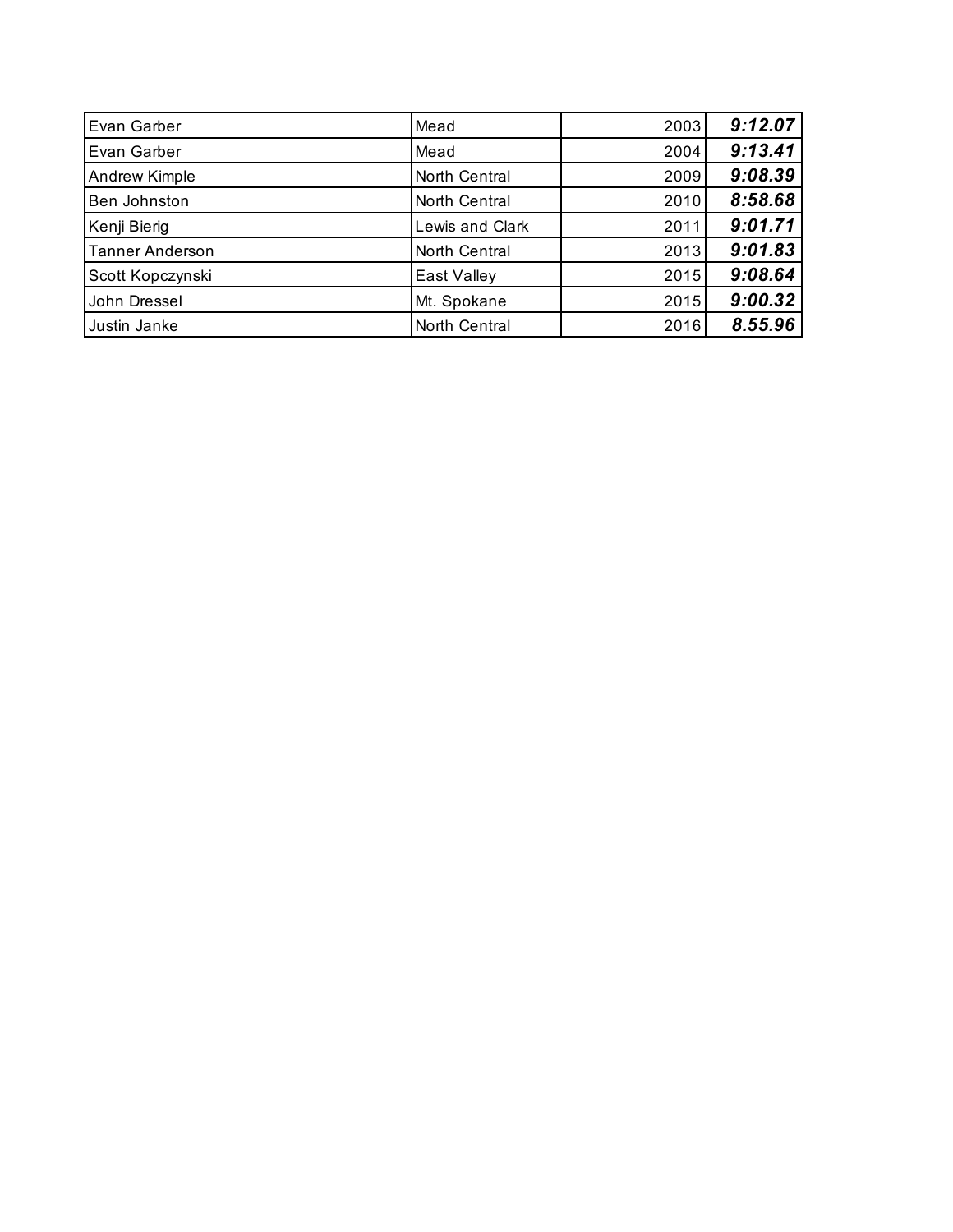| Evan Garber            | Mead            | 2003 | 9:12.07 |
|------------------------|-----------------|------|---------|
| Evan Garber            | Mead            | 2004 | 9:13.41 |
| Andrew Kimple          | North Central   | 2009 | 9:08.39 |
| Ben Johnston           | North Central   | 2010 | 8:58.68 |
| Kenji Bierig           | Lewis and Clark | 2011 | 9:01.71 |
| <b>Tanner Anderson</b> | North Central   | 2013 | 9:01.83 |
| Scott Kopczynski       | East Valley     | 2015 | 9:08.64 |
| John Dressel           | Mt. Spokane     | 2015 | 9:00.32 |
| Justin Janke           | North Central   | 2016 | 8.55.96 |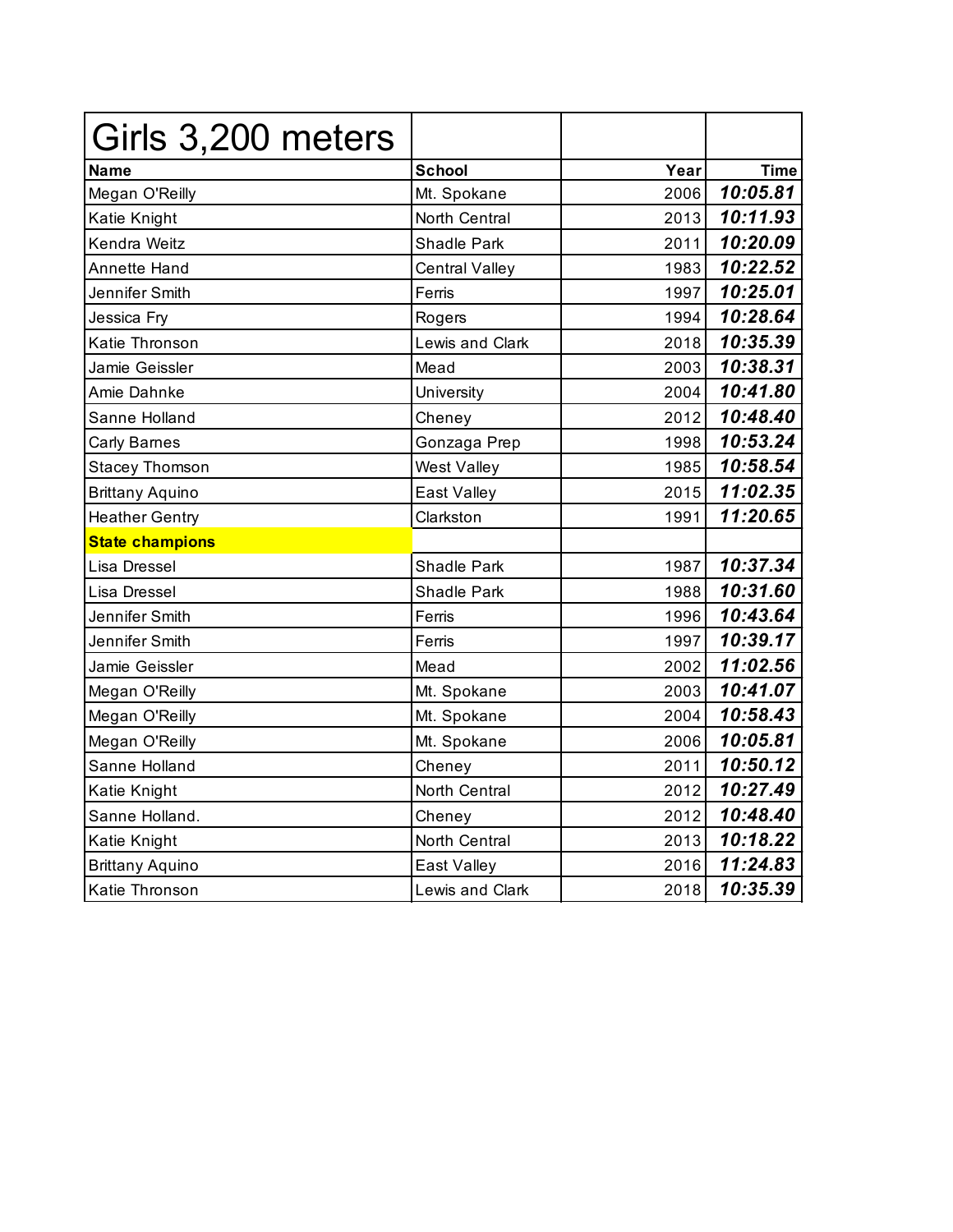| Girls 3,200 meters     |                       |      |             |
|------------------------|-----------------------|------|-------------|
| Name                   | <b>School</b>         | Year | <b>Time</b> |
| Megan O'Reilly         | Mt. Spokane           | 2006 | 10:05.81    |
| Katie Knight           | North Central         | 2013 | 10:11.93    |
| Kendra Weitz           | Shadle Park           | 2011 | 10:20.09    |
| Annette Hand           | <b>Central Valley</b> | 1983 | 10:22.52    |
| Jennifer Smith         | Ferris                | 1997 | 10:25.01    |
| Jessica Fry            | Rogers                | 1994 | 10:28.64    |
| Katie Thronson         | Lewis and Clark       | 2018 | 10:35.39    |
| Jamie Geissler         | Mead                  | 2003 | 10:38.31    |
| Amie Dahnke            | University            | 2004 | 10:41.80    |
| Sanne Holland          | Cheney                | 2012 | 10:48.40    |
| <b>Carly Barnes</b>    | Gonzaga Prep          | 1998 | 10:53.24    |
| <b>Stacey Thomson</b>  | West Valley           | 1985 | 10:58.54    |
| <b>Brittany Aquino</b> | East Valley           | 2015 | 11:02.35    |
| <b>Heather Gentry</b>  | Clarkston             | 1991 | 11:20.65    |
| <b>State champions</b> |                       |      |             |
| Lisa Dressel           | <b>Shadle Park</b>    | 1987 | 10:37.34    |
| Lisa Dressel           | <b>Shadle Park</b>    | 1988 | 10:31.60    |
| Jennifer Smith         | Ferris                | 1996 | 10:43.64    |
| Jennifer Smith         | Ferris                | 1997 | 10:39.17    |
| Jamie Geissler         | Mead                  | 2002 | 11:02.56    |
| Megan O'Reilly         | Mt. Spokane           | 2003 | 10:41.07    |
| Megan O'Reilly         | Mt. Spokane           | 2004 | 10:58.43    |
| Megan O'Reilly         | Mt. Spokane           | 2006 | 10:05.81    |
| Sanne Holland          | Cheney                | 2011 | 10:50.12    |
| Katie Knight           | North Central         | 2012 | 10:27.49    |
| Sanne Holland.         | Cheney                | 2012 | 10:48.40    |
| Katie Knight           | North Central         | 2013 | 10:18.22    |
| <b>Brittany Aquino</b> | East Valley           | 2016 | 11:24.83    |
| Katie Thronson         | Lewis and Clark       | 2018 | 10:35.39    |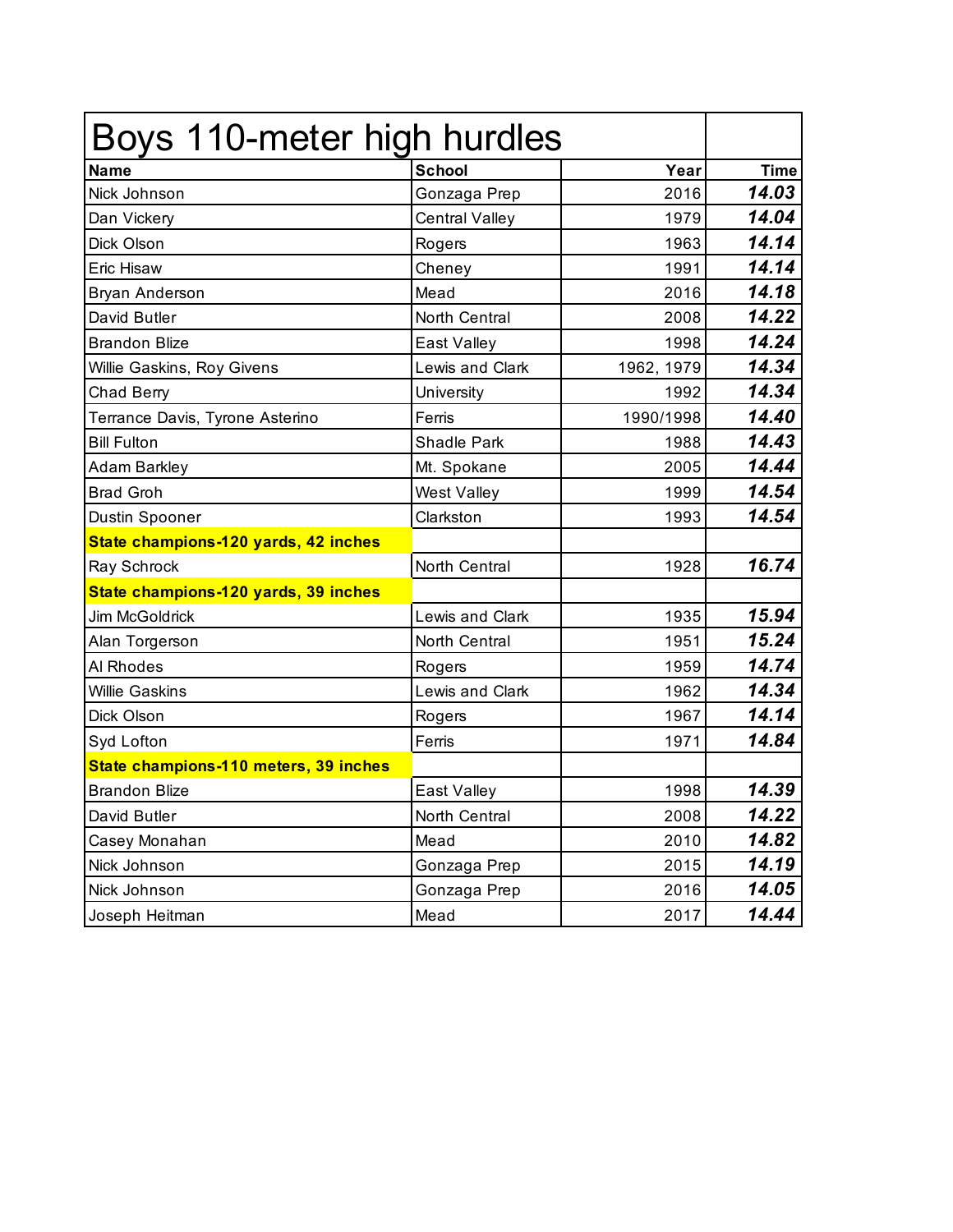| Boys 110-meter high hurdles           |                       |            |             |
|---------------------------------------|-----------------------|------------|-------------|
| <b>Name</b>                           | <b>School</b>         | Year       | <b>Time</b> |
| Nick Johnson                          | Gonzaga Prep          | 2016       | 14.03       |
| Dan Vickery                           | <b>Central Valley</b> | 1979       | 14.04       |
| Dick Olson                            | Rogers                | 1963       | 14.14       |
| Eric Hisaw                            | Cheney                | 1991       | 14.14       |
| <b>Bryan Anderson</b>                 | Mead                  | 2016       | 14.18       |
| David Butler                          | North Central         | 2008       | 14.22       |
| <b>Brandon Blize</b>                  | East Valley           | 1998       | 14.24       |
| Willie Gaskins, Roy Givens            | Lewis and Clark       | 1962, 1979 | 14.34       |
| Chad Berry                            | University            | 1992       | 14.34       |
| Terrance Davis, Tyrone Asterino       | Ferris                | 1990/1998  | 14.40       |
| <b>Bill Fulton</b>                    | Shadle Park           | 1988       | 14.43       |
| Adam Barkley                          | Mt. Spokane           | 2005       | 14.44       |
| <b>Brad Groh</b>                      | <b>West Valley</b>    | 1999       | 14.54       |
| Dustin Spooner                        | Clarkston             | 1993       | 14.54       |
| State champions-120 yards, 42 inches  |                       |            |             |
| Ray Schrock                           | North Central         | 1928       | 16.74       |
| State champions-120 yards, 39 inches  |                       |            |             |
| <b>Jim McGoldrick</b>                 | Lewis and Clark       | 1935       | 15.94       |
| Alan Torgerson                        | North Central         | 1951       | 15.24       |
| Al Rhodes                             | Rogers                | 1959       | 14.74       |
| <b>Willie Gaskins</b>                 | Lewis and Clark       | 1962       | 14.34       |
| Dick Olson                            | Rogers                | 1967       | 14.14       |
| Syd Lofton                            | Ferris                | 1971       | 14.84       |
| State champions-110 meters, 39 inches |                       |            |             |
| <b>Brandon Blize</b>                  | East Valley           | 1998       | 14.39       |
| David Butler                          | North Central         | 2008       | 14.22       |
| Casey Monahan                         | Mead                  | 2010       | 14.82       |
| Nick Johnson                          | Gonzaga Prep          | 2015       | 14.19       |
| Nick Johnson                          | Gonzaga Prep          | 2016       | 14.05       |
| Joseph Heitman                        | Mead                  | 2017       | 14.44       |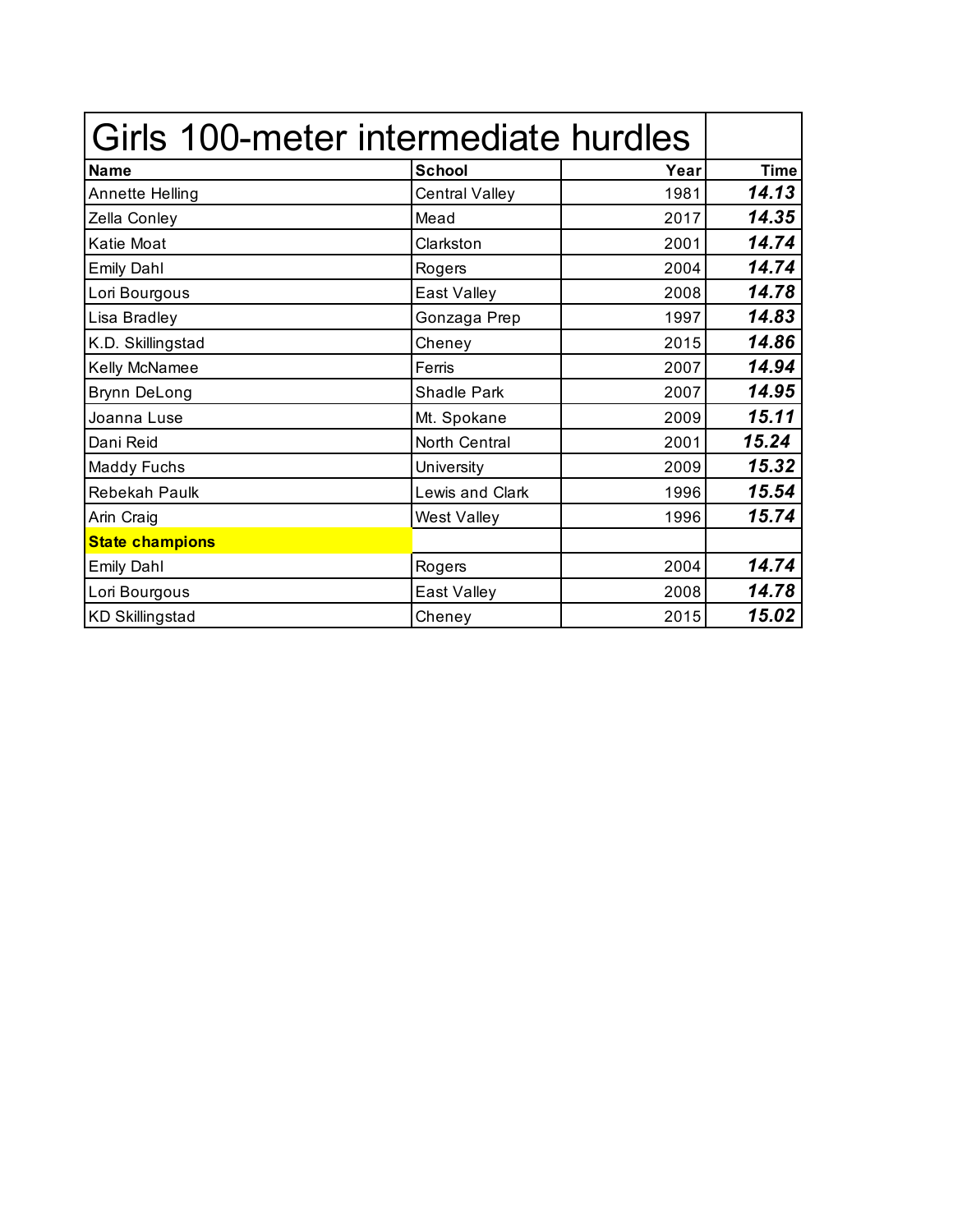| Girls 100-meter intermediate hurdles |                       |      |             |
|--------------------------------------|-----------------------|------|-------------|
| <b>Name</b>                          | <b>School</b>         | Year | <b>Time</b> |
| Annette Helling                      | <b>Central Valley</b> | 1981 | 14.13       |
| Zella Conley                         | Mead                  | 2017 | 14.35       |
| Katie Moat                           | Clarkston             | 2001 | 14.74       |
| <b>Emily Dahl</b>                    | Rogers                | 2004 | 14.74       |
| Lori Bourgous                        | East Valley           | 2008 | 14.78       |
| Lisa Bradley                         | Gonzaga Prep          | 1997 | 14.83       |
| K.D. Skillingstad                    | Cheney                | 2015 | 14.86       |
| Kelly McNamee                        | Ferris                | 2007 | 14.94       |
| <b>Brynn DeLong</b>                  | <b>Shadle Park</b>    | 2007 | 14.95       |
| Joanna Luse                          | Mt. Spokane           | 2009 | 15.11       |
| Dani Reid                            | North Central         | 2001 | 15.24       |
| <b>Maddy Fuchs</b>                   | University            | 2009 | 15.32       |
| Rebekah Paulk                        | Lewis and Clark       | 1996 | 15.54       |
| Arin Craig                           | <b>West Valley</b>    | 1996 | 15.74       |
| <b>State champions</b>               |                       |      |             |
| <b>Emily Dahl</b>                    | Rogers                | 2004 | 14.74       |
| Lori Bourgous                        | East Valley           | 2008 | 14.78       |
| <b>KD Skillingstad</b>               | Cheney                | 2015 | 15.02       |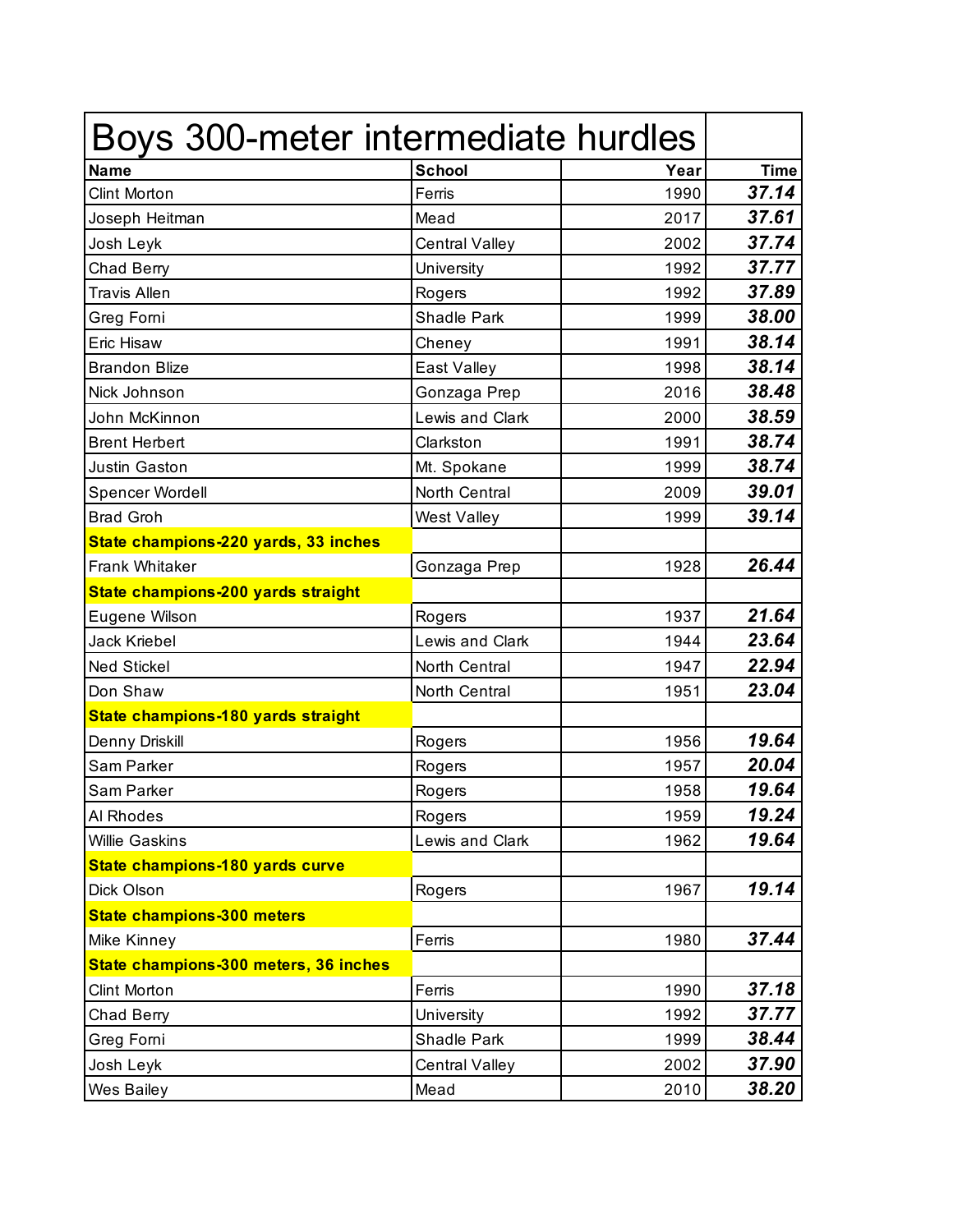| Boys 300-meter intermediate hurdles   |                       |      |             |
|---------------------------------------|-----------------------|------|-------------|
| <b>Name</b>                           | <b>School</b>         | Year | <b>Time</b> |
| <b>Clint Morton</b>                   | Ferris                | 1990 | 37.14       |
| Joseph Heitman                        | Mead                  | 2017 | 37.61       |
| Josh Leyk                             | <b>Central Valley</b> | 2002 | 37.74       |
| Chad Berry                            | University            | 1992 | 37.77       |
| <b>Travis Allen</b>                   | Rogers                | 1992 | 37.89       |
| Greg Forni                            | <b>Shadle Park</b>    | 1999 | 38.00       |
| Eric Hisaw                            | Cheney                | 1991 | 38.14       |
| <b>Brandon Blize</b>                  | East Valley           | 1998 | 38.14       |
| Nick Johnson                          | Gonzaga Prep          | 2016 | 38.48       |
| John McKinnon                         | Lewis and Clark       | 2000 | 38.59       |
| <b>Brent Herbert</b>                  | Clarkston             | 1991 | 38.74       |
| Justin Gaston                         | Mt. Spokane           | 1999 | 38.74       |
| Spencer Wordell                       | North Central         | 2009 | 39.01       |
| <b>Brad Groh</b>                      | West Valley           | 1999 | 39.14       |
| State champions-220 yards, 33 inches  |                       |      |             |
| Frank Whitaker                        | Gonzaga Prep          | 1928 | 26.44       |
| State champions-200 yards straight    |                       |      |             |
| Eugene Wilson                         | Rogers                | 1937 | 21.64       |
| <b>Jack Kriebel</b>                   | Lewis and Clark       | 1944 | 23.64       |
| <b>Ned Stickel</b>                    | North Central         | 1947 | 22.94       |
| Don Shaw                              | North Central         | 1951 | 23.04       |
| State champions-180 yards straight    |                       |      |             |
| Denny Driskill                        | Rogers                | 1956 | 19.64       |
| Sam Parker                            | Rogers                | 1957 | 20.04       |
| Sam Parker                            | Rogers                | 1958 | 19.64       |
| <b>Al Rhodes</b>                      | Rogers                | 1959 | 19.24       |
| <b>Willie Gaskins</b>                 | Lewis and Clark       | 1962 | 19.64       |
| State champions-180 yards curve       |                       |      |             |
| <b>Dick Olson</b>                     | Rogers                | 1967 | 19.14       |
| <b>State champions-300 meters</b>     |                       |      |             |
| <b>Mike Kinney</b>                    | Ferris                | 1980 | 37.44       |
| State champions-300 meters, 36 inches |                       |      |             |
| Clint Morton                          | Ferris                | 1990 | 37.18       |
| Chad Berry                            | University            | 1992 | 37.77       |
| Greg Forni                            | Shadle Park           | 1999 | 38.44       |
| Josh Leyk                             | Central Valley        | 2002 | 37.90       |
| Wes Bailey                            | Mead                  | 2010 | 38.20       |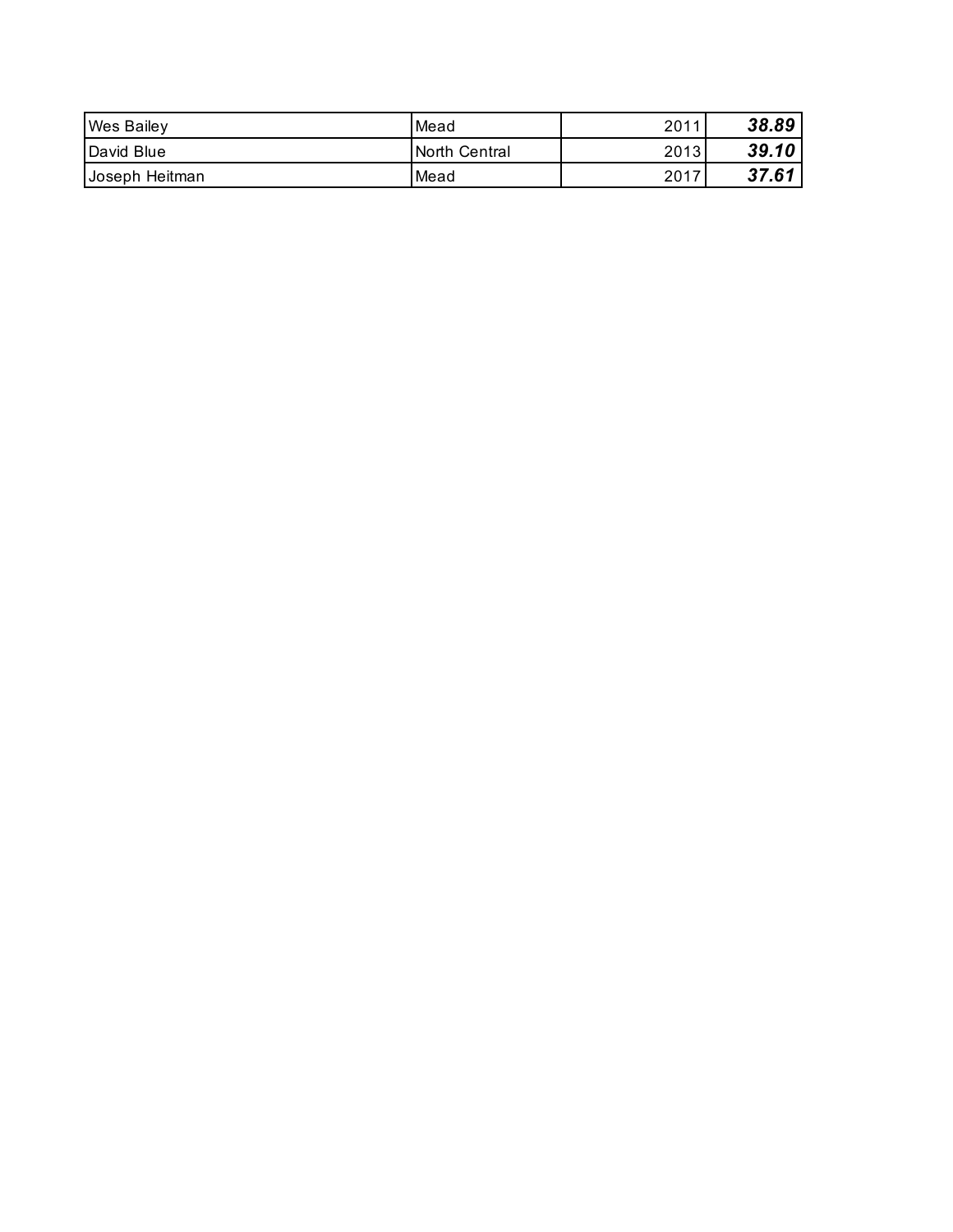| <b>Wes Bailey</b> | Mead           | 2011 | 38.89 |
|-------------------|----------------|------|-------|
| David Blue        | INorth Central | 2013 | 39.10 |
| Joseph Heitman    | Mead           | 2017 | 37.61 |